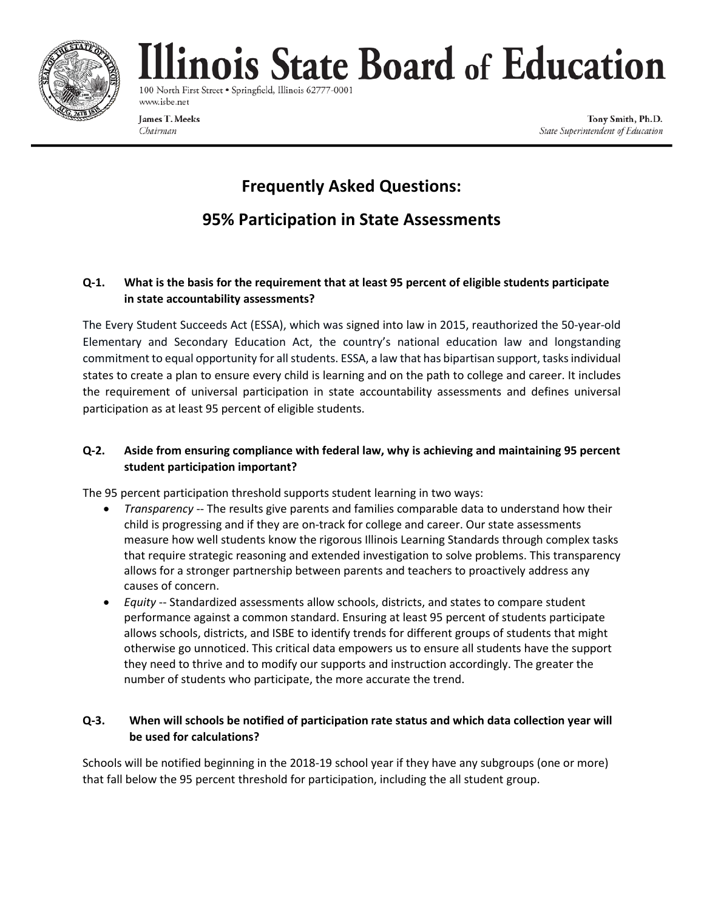

# linois State Board of Education

100 North First Street . Springfield, Illinois 62777-0001 www.isbe.net

James T. Meeks Chairman

Tony Smith, Ph.D. State Superintendent of Education

# **Frequently Asked Questions:**

# **95% Participation in State Assessments**

# **Q-1. What is the basis for the requirement that at least 95 percent of eligible students participate in state accountability assessments?**

The Every Student Succeeds Act (ESSA), which was signed into law in 2015, reauthorized the 50-year-old Elementary and Secondary Education Act, the country's national education law and longstanding commitment to equal opportunity for all students. ESSA, a law that has bipartisan support, tasksindividual states to create a plan to ensure every child is learning and on the path to college and career. It includes the requirement of universal participation in state accountability assessments and defines universal participation as at least 95 percent of eligible students.

# **Q-2. Aside from ensuring compliance with federal law, why is achieving and maintaining 95 percent student participation important?**

The 95 percent participation threshold supports student learning in two ways:

- *Transparency* -- The results give parents and families comparable data to understand how their child is progressing and if they are on-track for college and career. Our state assessments measure how well students know the rigorous Illinois Learning Standards through complex tasks that require strategic reasoning and extended investigation to solve problems. This transparency allows for a stronger partnership between parents and teachers to proactively address any causes of concern.
- *Equity* -- Standardized assessments allow schools, districts, and states to compare student performance against a common standard. Ensuring at least 95 percent of students participate allows schools, districts, and ISBE to identify trends for different groups of students that might otherwise go unnoticed. This critical data empowers us to ensure all students have the support they need to thrive and to modify our supports and instruction accordingly. The greater the number of students who participate, the more accurate the trend.

## **Q-3. When will schools be notified of participation rate status and which data collection year will be used for calculations?**

Schools will be notified beginning in the 2018-19 school year if they have any subgroups (one or more) that fall below the 95 percent threshold for participation, including the all student group.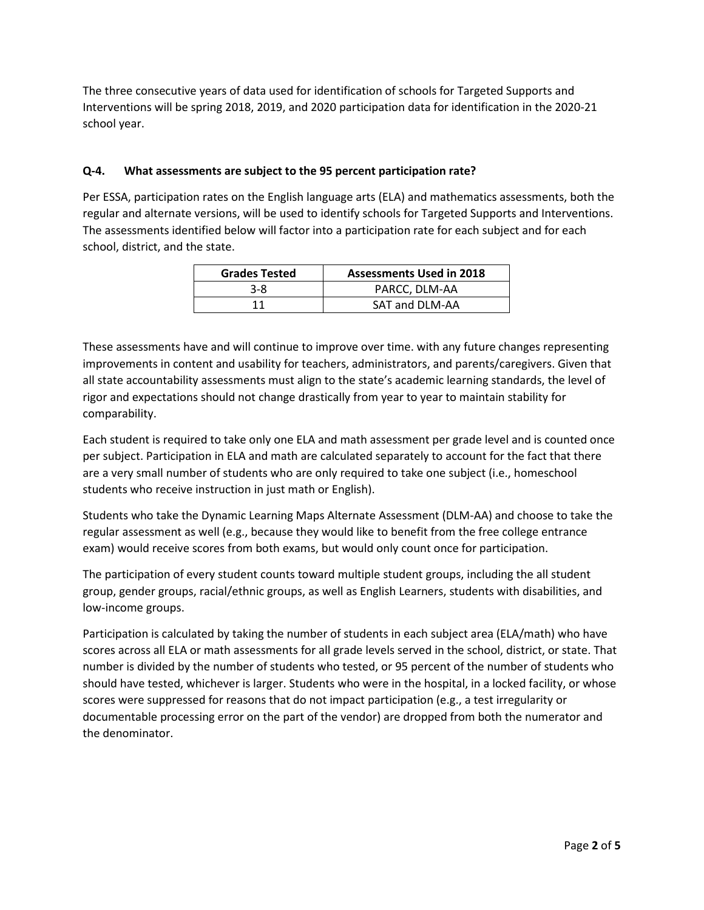The three consecutive years of data used for identification of schools for Targeted Supports and Interventions will be spring 2018, 2019, and 2020 participation data for identification in the 2020-21 school year.

#### **Q-4. What assessments are subject to the 95 percent participation rate?**

Per ESSA, participation rates on the English language arts (ELA) and mathematics assessments, both the regular and alternate versions, will be used to identify schools for Targeted Supports and Interventions. The assessments identified below will factor into a participation rate for each subject and for each school, district, and the state.

| <b>Grades Tested</b> | <b>Assessments Used in 2018</b> |  |
|----------------------|---------------------------------|--|
| 3-8                  | PARCC, DLM-AA                   |  |
|                      | SAT and DLM-AA                  |  |

These assessments have and will continue to improve over time. with any future changes representing improvements in content and usability for teachers, administrators, and parents/caregivers. Given that all state accountability assessments must align to the state's academic learning standards, the level of rigor and expectations should not change drastically from year to year to maintain stability for comparability.

Each student is required to take only one ELA and math assessment per grade level and is counted once per subject. Participation in ELA and math are calculated separately to account for the fact that there are a very small number of students who are only required to take one subject (i.e., homeschool students who receive instruction in just math or English).

Students who take the Dynamic Learning Maps Alternate Assessment (DLM-AA) and choose to take the regular assessment as well (e.g., because they would like to benefit from the free college entrance exam) would receive scores from both exams, but would only count once for participation.

The participation of every student counts toward multiple student groups, including the all student group, gender groups, racial/ethnic groups, as well as English Learners, students with disabilities, and low-income groups.

Participation is calculated by taking the number of students in each subject area (ELA/math) who have scores across all ELA or math assessments for all grade levels served in the school, district, or state. That number is divided by the number of students who tested, or 95 percent of the number of students who should have tested, whichever is larger. Students who were in the hospital, in a locked facility, or whose scores were suppressed for reasons that do not impact participation (e.g., a test irregularity or documentable processing error on the part of the vendor) are dropped from both the numerator and the denominator.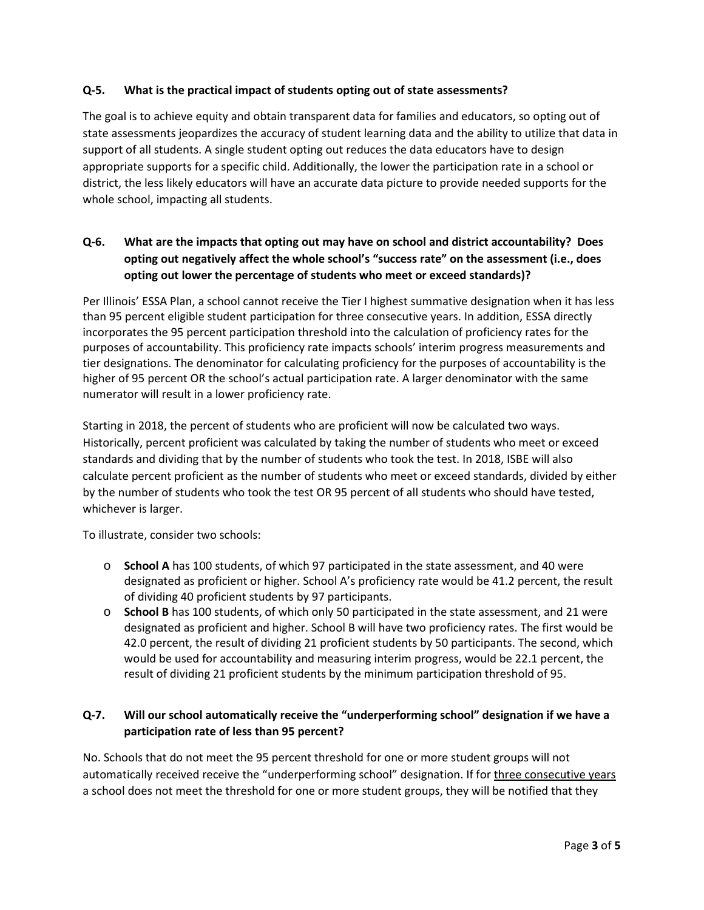#### **Q-5. What is the practical impact of students opting out of state assessments?**

The goal is to achieve equity and obtain transparent data for families and educators, so opting out of state assessments jeopardizes the accuracy of student learning data and the ability to utilize that data in support of all students. A single student opting out reduces the data educators have to design appropriate supports for a specific child. Additionally, the lower the participation rate in a school or district, the less likely educators will have an accurate data picture to provide needed supports for the whole school, impacting all students.

## **Q-6. What are the impacts that opting out may have on school and district accountability? Does opting out negatively affect the whole school's "success rate" on the assessment (i.e., does opting out lower the percentage of students who meet or exceed standards)?**

Per Illinois' ESSA Plan, a school cannot receive the Tier I highest summative designation when it has less than 95 percent eligible student participation for three consecutive years. In addition, ESSA directly incorporates the 95 percent participation threshold into the calculation of proficiency rates for the purposes of accountability. This proficiency rate impacts schools' interim progress measurements and tier designations. The denominator for calculating proficiency for the purposes of accountability is the higher of 95 percent OR the school's actual participation rate. A larger denominator with the same numerator will result in a lower proficiency rate.

Starting in 2018, the percent of students who are proficient will now be calculated two ways. Historically, percent proficient was calculated by taking the number of students who meet or exceed standards and dividing that by the number of students who took the test. In 2018, ISBE will also calculate percent proficient as the number of students who meet or exceed standards, divided by either by the number of students who took the test OR 95 percent of all students who should have tested, whichever is larger.

To illustrate, consider two schools:

- o **School A** has 100 students, of which 97 participated in the state assessment, and 40 were designated as proficient or higher. School A's proficiency rate would be 41.2 percent, the result of dividing 40 proficient students by 97 participants.
- o **School B** has 100 students, of which only 50 participated in the state assessment, and 21 were designated as proficient and higher. School B will have two proficiency rates. The first would be 42.0 percent, the result of dividing 21 proficient students by 50 participants. The second, which would be used for accountability and measuring interim progress, would be 22.1 percent, the result of dividing 21 proficient students by the minimum participation threshold of 95.

#### **Q-7. Will our school automatically receive the "underperforming school" designation if we have a participation rate of less than 95 percent?**

No. Schools that do not meet the 95 percent threshold for one or more student groups will not automatically received receive the "underperforming school" designation. If for three consecutive years a school does not meet the threshold for one or more student groups, they will be notified that they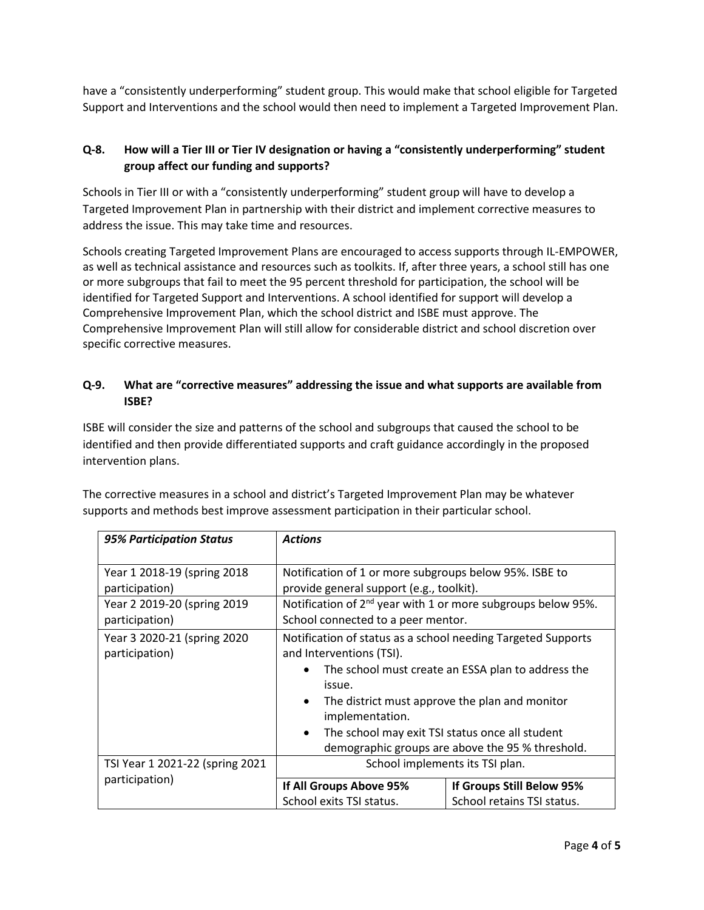have a "consistently underperforming" student group. This would make that school eligible for Targeted Support and Interventions and the school would then need to implement a Targeted Improvement Plan.

## **Q-8. How will a Tier III or Tier IV designation or having a "consistently underperforming" student group affect our funding and supports?**

Schools in Tier III or with a "consistently underperforming" student group will have to develop a Targeted Improvement Plan in partnership with their district and implement corrective measures to address the issue. This may take time and resources.

Schools creating Targeted Improvement Plans are encouraged to access supports through IL-EMPOWER, as well as technical assistance and resources such as toolkits. If, after three years, a school still has one or more subgroups that fail to meet the 95 percent threshold for participation, the school will be identified for Targeted Support and Interventions. A school identified for support will develop a Comprehensive Improvement Plan, which the school district and ISBE must approve. The Comprehensive Improvement Plan will still allow for considerable district and school discretion over specific corrective measures.

#### **Q-9. What are "corrective measures" addressing the issue and what supports are available from ISBE?**

ISBE will consider the size and patterns of the school and subgroups that caused the school to be identified and then provide differentiated supports and craft guidance accordingly in the proposed intervention plans.

| <b>95% Participation Status</b>                   | <b>Actions</b>                                                                                                                                                                                                                                                                                                                                                              |                                                         |  |
|---------------------------------------------------|-----------------------------------------------------------------------------------------------------------------------------------------------------------------------------------------------------------------------------------------------------------------------------------------------------------------------------------------------------------------------------|---------------------------------------------------------|--|
| Year 1 2018-19 (spring 2018<br>participation)     | Notification of 1 or more subgroups below 95%. ISBE to<br>provide general support (e.g., toolkit).                                                                                                                                                                                                                                                                          |                                                         |  |
| Year 2 2019-20 (spring 2019<br>participation)     | Notification of 2 <sup>nd</sup> year with 1 or more subgroups below 95%.<br>School connected to a peer mentor.                                                                                                                                                                                                                                                              |                                                         |  |
| Year 3 2020-21 (spring 2020)<br>participation)    | Notification of status as a school needing Targeted Supports<br>and Interventions (TSI).<br>The school must create an ESSA plan to address the<br>$\bullet$<br>issue.<br>The district must approve the plan and monitor<br>$\bullet$<br>implementation.<br>The school may exit TSI status once all student<br>$\bullet$<br>demographic groups are above the 95 % threshold. |                                                         |  |
| TSI Year 1 2021-22 (spring 2021<br>participation) | School implements its TSI plan.                                                                                                                                                                                                                                                                                                                                             |                                                         |  |
|                                                   | If All Groups Above 95%<br>School exits TSI status.                                                                                                                                                                                                                                                                                                                         | If Groups Still Below 95%<br>School retains TSI status. |  |

The corrective measures in a school and district's Targeted Improvement Plan may be whatever supports and methods best improve assessment participation in their particular school.